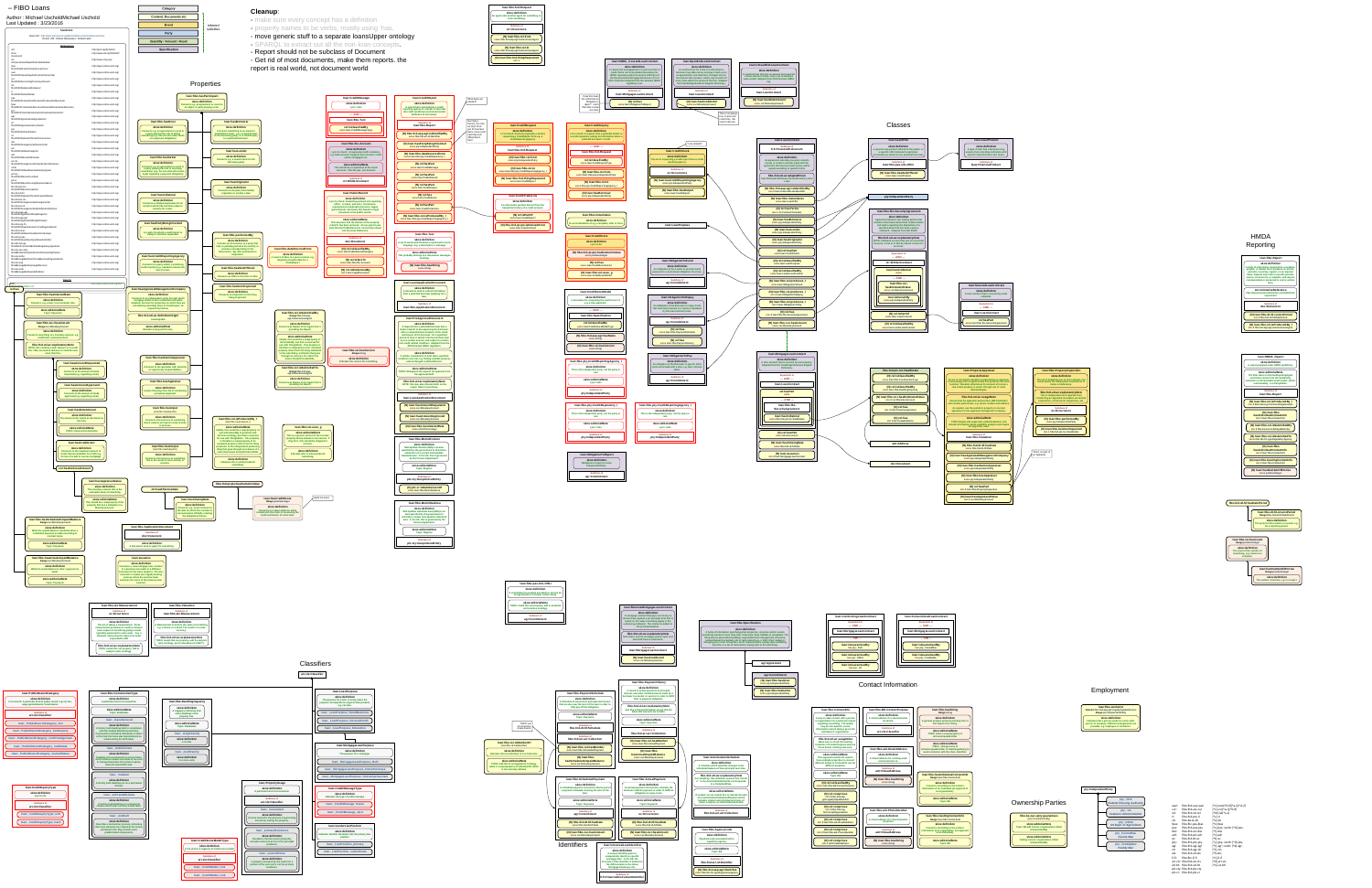

**(N) rel:hasPart min 0 loan:fibo-PropertyInspection**

**(N) loan:hasAppraisedValue min 0 cur:MonetaryAmount**



Classes



| This is not part of | an Appraisal.





**loan:HMDA\_CoveredLoanContract**

| ument world                                                                                                                                                                                                         |                                                                                                                                                                                                                                                                                                                                                                                                                                |                                                                                                                            |                                                                                                                                                             |                                                                                                                                                                                  | skos:definition<br>A closed-end mortgage loan or open-end line of<br>credit that is not an excluded transaction for<br>HMDA reporting under US section 1003.3(c) of<br>the Revised Home Mortgage Disclosure Act of<br>2015. Definition adapted from the Revised HMDA | A LoanC<br>borrower m<br>an agreed<br>the amount<br>at any time                                                                            |
|---------------------------------------------------------------------------------------------------------------------------------------------------------------------------------------------------------------------|--------------------------------------------------------------------------------------------------------------------------------------------------------------------------------------------------------------------------------------------------------------------------------------------------------------------------------------------------------------------------------------------------------------------------------|----------------------------------------------------------------------------------------------------------------------------|-------------------------------------------------------------------------------------------------------------------------------------------------------------|----------------------------------------------------------------------------------------------------------------------------------------------------------------------------------|----------------------------------------------------------------------------------------------------------------------------------------------------------------------------------------------------------------------------------------------------------------------|--------------------------------------------------------------------------------------------------------------------------------------------|
| loan:CreditMessage<br>skos:definition                                                                                                                                                                               | loan:CreditReport<br>skos:definition                                                                                                                                                                                                                                                                                                                                                                                           | What dates are<br>needed?                                                                                                  |                                                                                                                                                             | Does this mean<br>the LOAN has an<br>Obligation to<br>report? I don't                                                                                                            | regulatory text.<br><b>Subclass of</b><br>Ioan:MortgageLoanContract<br>(N) rel:has<br>some loan: Obligation To Report                                                                                                                                                | from Caml                                                                                                                                  |
| Lynn: todo<br>$--- AND ---$<br>loan:fibo-Text                                                                                                                                                                       | A report that is provided by a credit<br>reporting agency to a lender to describe<br>the credit worthiness and related credit<br>attributes of a borrower.<br><b>Subclass of</b>                                                                                                                                                                                                                                               | Normally a                                                                                                                 |                                                                                                                                                             | think that is what<br>we mean                                                                                                                                                    |                                                                                                                                                                                                                                                                      |                                                                                                                                            |
| rel:isClassifiedBy<br>some loan:CreditMessageType                                                                                                                                                                   | loan:fibo-Report<br>(N) fibo-fnd-aap-agt:isldentifiedBy<br>some fibo-fnd-arr-id:Identifier                                                                                                                                                                                                                                                                                                                                     | Person, can it be<br>an Org? Prob.<br>yes for business<br>loans, does credit<br>reporting work<br>differently for<br>that? | loan:CreditRequest<br>skos:definition<br>LC to check: Someone (typically a lender)<br>requesting a CreditReport from e.g. a<br><b>CreditReportingAgency</b> | loan:CreditInquiry<br>skos:definition<br>LC to check: A request from a potential lender to<br>a credit repository asking for information about a<br>potential borrower's credit. |                                                                                                                                                                                                                                                                      |                                                                                                                                            |
| loan:fibo-fbc-Account<br>skos:definition<br>ynn to check: An agreement with a balance,<br>bank account, frequent flyer account, credit<br>cards, mortgages etc.                                                     | (N) loan:hasPartyBeingChecked<br>some pty:IndependentParty<br>(N) loan:fibo-dataSourcedFrom<br>some loan:fibo-pty-CreditRepository_I                                                                                                                                                                                                                                                                                           |                                                                                                                            | <b>Subclass of</b><br>loan:fibo-fnd-Request<br>(N) loan:fibo-rel-from<br>some pty:IndependentParty                                                          | --- AND ---<br>loan:fibo-fnd-Request<br>rel:isClassifiedBy                                                                                                                       |                                                                                                                                                                                                                                                                      | Ioan:CreditChec<br>skos:definition<br>The act of requesting a credit repo                                                                  |
| skos:editorialNote<br>This should be a superclass of the much<br>narrower: fibo-fbc-pas_caa:Account<br><b>Subclass of</b>                                                                                           | (N) rel:hasPart<br>some loan: Credit Message<br>(N) rel:hasPart<br>some loan: Public Record                                                                                                                                                                                                                                                                                                                                    |                                                                                                                            | (N) loan:fibo-rel-to<br>some loan:fibo-pty-CreditReportingAgency_I<br>(N) loan:fibo-fnd-thing Requested                                                     | some loan:CreditInquiryType<br>(N) loan:fibo-rel-from<br>some loan:fibo-pty-IndependentParty                                                                                     |                                                                                                                                                                                                                                                                      | reporting agency.<br><b>Subclass of</b><br>oc:Occurrence<br>(N) loan:hasCreditReporti                                                      |
| ctr:WrittenContract<br>loan:PublicRecord<br>skos:definition                                                                                                                                                         | (N) rel:hasPart<br>some loan: CreditInquiry<br>(N) rel:has<br>some loan:CreditScore                                                                                                                                                                                                                                                                                                                                            |                                                                                                                            | some loan:CreditReport<br>loan:CreditTradeLine                                                                                                              | (N) loan:fibo-rel-to<br>some fibo-pty-CreditReportingAgency_I<br>(N) loan:hasBorrower<br>some pty:IndependentParty                                                               |                                                                                                                                                                                                                                                                      | some pty:IndependentP<br>(N) loan:fibo-hasOu<br>some loan:CreditRepo                                                                       |
| n to check: Something entered into reporting<br>office. A report, and entry. foreclosure,<br>epossession, bankruptcy,tax liens, wages<br>arnishments. Summary text based on legal<br>document in the public record. | (N) rel:hasPart<br>some loan:CreditTradeLine<br>(N) loan:fibo-rel-isProducedBy_I                                                                                                                                                                                                                                                                                                                                               |                                                                                                                            | skos:definition<br>An information product derived from the<br>transaction history of a credit account.<br>(N) rel:isPartOf<br>some loan:CreditReport        | loan:fibo-instantiates                                                                                                                                                           |                                                                                                                                                                                                                                                                      |                                                                                                                                            |
| skos:editorialNote<br>is assumes that the domain of the property<br>ersTo has been removed. At one point it was<br>I that the PublicRecord is incorrectly infered<br>into the class Reference.                      | some loan:fibo-pty-CreditReportingAgency_I<br>loan:fibo-Text                                                                                                                                                                                                                                                                                                                                                                   |                                                                                                                            | (N) fibo-fnd-qt-qtu:isDerivedFrom<br>some loan:LoanContract                                                                                                 | skos:definition<br>lis an instantiation of e.g. a template, offer or form.<br>Ioan:CreditScore                                                                                   |                                                                                                                                                                                                                                                                      | Ioan:LoanPurpos                                                                                                                            |
| <b>Subclass of</b><br>doc:Document<br>(N) rel:isClassifiedBy<br>some loan: PublicRecordCategory                                                                                                                     | skos:definition<br>A set of words and characters expressed in some<br>language. E.g. a description, a message<br>skos:editorialNote<br>This probably belongs in a documents messages                                                                                                                                                                                                                                           |                                                                                                                            |                                                                                                                                                             | skos:definition<br>Lynn to do<br>(N) fibo-fnd-qt-qtu:hasNumericValue<br>some positiveInteger                                                                                     |                                                                                                                                                                                                                                                                      |                                                                                                                                            |
| (N) rel:refersTo<br>some loan:fibo-fbc-Account<br>(N) ctr:isEvidencedBy<br>min 0 doc:LegalDocument                                                                                                                  | ontology<br>(N) loan:fibo-hasString<br>some string                                                                                                                                                                                                                                                                                                                                                                             |                                                                                                                            |                                                                                                                                                             | (N) rel:has<br>some loan: Credit ScoreFactor<br>(N) loan:fibo-rel-uses_g<br>some loan: Credit ScoreModel                                                                         |                                                                                                                                                                                                                                                                      | loan:ObligationToF<br>skos:definition<br>An obligation of the Lender to pr<br>pursuant to a contractual obligati                           |
|                                                                                                                                                                                                                     | Ioan:LoanApplicationDocument<br>skos:definition<br>A document used to collect information<br>from a potential borrower applying for a<br>loan.                                                                                                                                                                                                                                                                                 |                                                                                                                            |                                                                                                                                                             | Ioan:CreditScoreModel                                                                                                                                                            |                                                                                                                                                                                                                                                                      | <b>Subclass of</b><br>agr:Commitment                                                                                                       |
|                                                                                                                                                                                                                     | <b>Subclass of</b><br>Ioan:fibo-ApplicationDocument                                                                                                                                                                                                                                                                                                                                                                            |                                                                                                                            |                                                                                                                                                             | skos:definition<br>A procedure for computing the credit score of<br>e.g. a loan applicant.<br>$- - AND - -$<br>Ioan:fibo-Specification                                           |                                                                                                                                                                                                                                                                      | loan:ObligationToRe<br>skos:definition<br>An obligation of the Borrower to<br>that have been loaned, in a mann<br>by the loan contract ter |
|                                                                                                                                                                                                                     | Ioan:PreApprovalDocument<br>skos:definition<br>A request from a potential borrower that a<br>lender commit to pre-approving the borrower,<br>after a comprehensive analysis of the credit<br>worthiness of the borrower, for a specified<br>period of time to extend a home purchase loan<br>up to a certain amount, and subject to certain<br>non-credit related condtions. Adapted from the<br>2015 Revised HMDA regulation. |                                                                                                                            |                                                                                                                                                             | rel:isClassifiedBy<br>some loan:CreditScoreModelType<br>(N) fibo-fnd-aap-agt:hasName<br>some string<br>(N) loan:fibo-rel-hasVersion                                              |                                                                                                                                                                                                                                                                      | <b>Subclass of</b><br>agr:Commitment<br>(N) rel:has<br>some loan:fibo-PaymentSc<br>(N) rel:has<br>some loan:fibo-PaymentH                  |
| loan:fibo-rel-hasVersion<br>Range:string<br>skos:definition<br>Indicates the version for something.                                                                                                                 | skos:definition<br>A written commitment to lend when specified<br>conditions are met, e.g. finding suitable property,<br>and unchanged creditworthiness.<br>skos:editorialNote                                                                                                                                                                                                                                                 |                                                                                                                            |                                                                                                                                                             | some string<br>loan:fibo-pty-CreditReportingAgency_I<br>skos:definition                                                                                                          |                                                                                                                                                                                                                                                                      | loan: Obligation Tol<br>skos:definition<br>An obligation of the Borrower to<br>costs associated with a loan, e.g.                          |
|                                                                                                                                                                                                                     | TODO: distinguish the request for approval from<br>the approval itself.<br>fibo-fnd-utl-av:explanatoryNote<br>NOTE: this may also inicude limits on the<br>region where to purchase.                                                                                                                                                                                                                                           |                                                                                                                            |                                                                                                                                                             | This is the independent party, not the party in<br>role<br>skos:editorialNote<br>Lynn: todo                                                                                      |                                                                                                                                                                                                                                                                      | taxes.<br><b>Subclass of</b><br>agr:Commitment                                                                                             |
|                                                                                                                                                                                                                     | <b>Subclass of</b><br>Ioan:LoanApplicationDocument<br>(N) loan:hasAmountRequested<br>some cur: Monetary Amount                                                                                                                                                                                                                                                                                                                 |                                                                                                                            |                                                                                                                                                             | <b>Subclass of</b><br>pty:IndependentParty<br>loan:fibo-pty-CreditRepository_I                                                                                                   | loan:fibo-pty-CreditReportingAgency                                                                                                                                                                                                                                  |                                                                                                                                            |
|                                                                                                                                                                                                                     | (N) loan:hasAmountApproved<br>some cur: Monetary Amount<br>(N) loan:fibo-hasInterestRate                                                                                                                                                                                                                                                                                                                                       |                                                                                                                            |                                                                                                                                                             | skos:definition<br>This is the independent party, not the party in<br>role<br>skos:editorialNote<br>Lynn: todo                                                                   | skos:definition<br>This is the independent party, not the party i<br>role<br>skos:editorialNote<br>Lynn: todo                                                                                                                                                        |                                                                                                                                            |
|                                                                                                                                                                                                                     | some utl-bt:Percentage<br>Ioan:fibo-MetroDivision<br>skos:definition                                                                                                                                                                                                                                                                                                                                                           |                                                                                                                            |                                                                                                                                                             | <b>Subclass of</b><br>pty:IndependentParty                                                                                                                                       | <b>Subclass of</b><br>pty:IndependentParty                                                                                                                                                                                                                           |                                                                                                                                            |
|                                                                                                                                                                                                                     | Metropolitan division (MD) is an area<br>specified by the government to describe a<br>subsection of a certain metropolitan<br>statistical area. In the US, this is governed<br>by the Census Department.<br>skos:editorialNote                                                                                                                                                                                                 |                                                                                                                            |                                                                                                                                                             | Ioan:ObligationToReport<br>skos:definition<br>Obligation to report to some<br>IndependentParty.                                                                                  |                                                                                                                                                                                                                                                                      |                                                                                                                                            |
|                                                                                                                                                                                                                     | <b>Topic: Regions</b><br><b>Subclass of</b><br>plc-cty:GeopoliticalEntity<br>(N) plc-cr:isSubdivisionOf<br>some loan:fibo-MetroStatArea                                                                                                                                                                                                                                                                                        |                                                                                                                            |                                                                                                                                                             | <b>Subclass of</b><br>agr:Commitment                                                                                                                                             |                                                                                                                                                                                                                                                                      |                                                                                                                                            |
|                                                                                                                                                                                                                     | Ioan:fibo-MetroStatArea<br>skos:definition<br>Metropolitan statistical area (MSA) is an<br>area specified by the government to<br>describe a certain metropolitan statistical<br>area. In the US, this is governed by the<br><b>Census department.</b><br>skos:editorialNote<br><b>Topic: Regions</b><br><b>Subclass of</b><br>plc-cty:GeopoliticalEntity                                                                      |                                                                                                                            |                                                                                                                                                             |                                                                                                                                                                                  |                                                                                                                                                                                                                                                                      |                                                                                                                                            |
|                                                                                                                                                                                                                     |                                                                                                                                                                                                                                                                                                                                                                                                                                |                                                                                                                            |                                                                                                                                                             |                                                                                                                                                                                  |                                                                                                                                                                                                                                                                      |                                                                                                                                            |

**(N) loan:fibo-rel-to** some fibo-fnd-aap-agt:AutonomousAgent

**(N) loan:fibo-fnd-thingRequested min 1** 



HMDA Reporting

> **skos:definition The period of time which is covered. e.g. for a reporting period.**

**loan:fibo-dt-fd-coversPeriod Range:fibo-fnd-dt-fd:DatePeriod**

**fibo-fnd-dt-fd:hasDatePeriod**

**Subclass of doc:Document skos:definition A body of information organized in a narrative, graphic, or tabular form, prepared on ad hoc, periodic, recurring, regular, or as required basis. Reports may refer to specific periods, events, occurrences, or subjects, and may be communicated or presented in oral or written form. sm:normativeReference http://www.businessdictionary.com/definition/ report.html loan:fibo-Report**

**(N) loan:fibo-dt-fd-coversPeriod min 0 fibo-fnd-dt-fd:DatePeriod**

**(N) loan:fibo-rel-isProducedBy\_I min 0 fibo-fnd-aap-agt:AutonomousAgent**



**skos:definition The number of entries, e.g. in a report.**

**loan:hasNumberOfEntries Range:positiveInteger**

**skos:definition The count of the number of something, e.g. entries in a schedule.**

**loan:fibo-rel-hasCount Range:positiveInteger**

**(N) fibo-fnd-aap-agt:identifies some fibo-fbc-fct-rga:RegulatoryAgency**

<u> 1980 - Johann Barnett, fransk politiker (</u>



| wne |                |
|-----|----------------|
|     | fibo-be<br>(Ic |
|     |                |

| fibo-be<br>$\mathcal{I}$  |  |
|---------------------------|--|
| sl<br><b>Topic: BE at</b> |  |
| sl<br><b>Adding i</b>     |  |



**loan:ConventionalLoanContract loan:ConformingLoanContract Equivalent to Equivalent to loan:fibo-Specification --- AND --- --- AND -- skos:definition loan:MortgageLoanContract loan:MortgageLoanContract A body of information specifying what properties, structure and/or results something should or must have after it has been built, fulfilled or completed. The thing may be physical (a building), organizational (a management structure), --- OR --- --- OR -- computational (a program), job or task related (e.g., a CEO, Chief Judge) or changing oil in a car. It may be a set of characteristics saying what something loan:isGuaranteedBy loan:isGuaranteedBy must be, or a set of instructions saying how to do something. has pty:\_FHA has pty:\_FannieMae loan:isGuaranteedBy loan:isGuaranteedBy has pty:\_USDA has pty:\_FreddyMac agr:Agreement loan:isGuaranteedBy has pty:\_VA agr:Commitment (N) loan:fibo-hasGiver** Contact Information **some pty:IndependentParty** <u> 1980 - Johann Barnett, fransk politiker (d. 1980)</u> **(N) loan:fibo-hasGetter some pty:IndependentParty loan:fibo-ContactInfo loan:fibo-BE-ContactPurpose Range:string skos:definition skos:definition skos:definition A way to make contact with a person A virtual address for communication**  *or organization for a particular reas* **via phone. regarding something. The details may be role-specific, so the Subclass of information cannot always go on the arr-cls:Classifier individual or organization. fibo-fnd-utl-av:usageNote Make sure to check the existing instances of ContactPurpose and use those before creating new ones. loan:fibo-adr-EmailAddress skos:editorialNote skos:definition loan:AmortizationSchedule This approach avoids the need to A virtual address for sending email have multiple properties to connect communication to. skos:definition different things to ContactInfo use for different purposes.**



**skos:definition Indicates that a person works for some other person or company. Different arrangements are possible, e.g. employee or contractor.**

**loan:fibo-worksFor Domain:fibo-fnd-aap-ppl:LegallyCapablePerson Range:pty:IndependentParty**





**loan:\_CreditModel\_cm2**

**Subclass of oc:Occurrence**

**skos:definition An agent asks another agent for something or to do something.**

**(N) loan:fibo-rel-from some fibo-fnd-aap-agt:AutonomousAgent**

**loan:fibo-fnd-Request**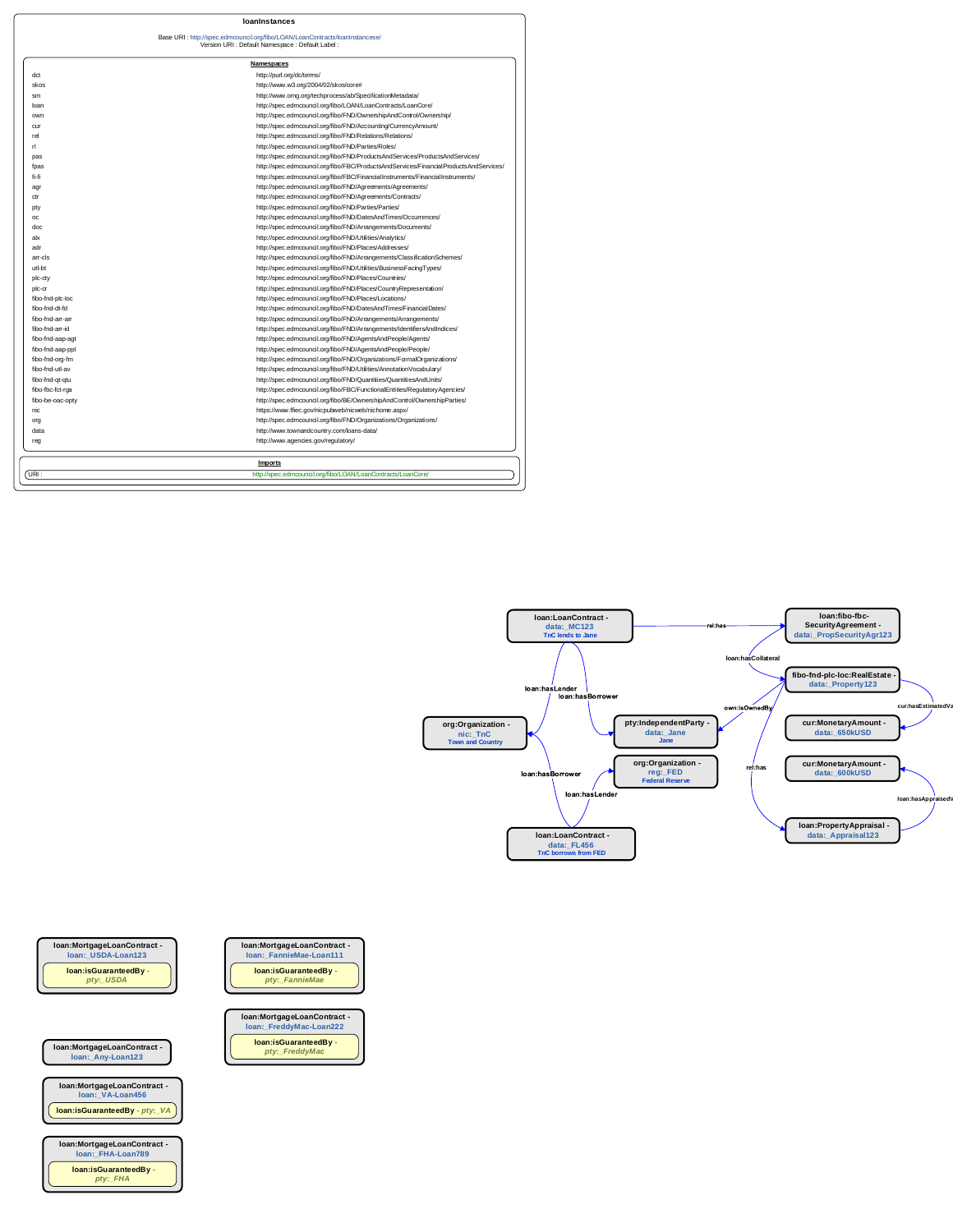|                  | <u>Namespaces</u>                                                                     |
|------------------|---------------------------------------------------------------------------------------|
| dct              | http://purl.org/dc/terms/                                                             |
| skos             | http://www.w3.org/2004/02/skos/core#                                                  |
| sm               | http://www.omg.org/techprocess/ab/SpecificationMetadata/                              |
| loan             | http://spec.edmcouncil.org/fibo/LOAN/LoanContracts/LoanCore/                          |
| own              | http://spec.edmcouncil.org/fibo/FND/OwnershipAndControl/Ownership/                    |
| cur              | http://spec.edmcouncil.org/fibo/FND/Accounting/CurrencyAmount/                        |
| rel              | http://spec.edmcouncil.org/fibo/FND/Relations/Relations/                              |
| rl.              | http://spec.edmcouncil.org/fibo/FND/Parties/Roles/                                    |
| pas              | http://spec.edmcouncil.org/fibo/FND/ProductsAndServices/ProductsAndServices/          |
| tpas             | http://spec.edmcouncil.org/fibo/FBC/ProductsAndServices/FinancialProductsAndServices/ |
| fi-fi            | http://spec.edmcouncil.org/fibo/FBC/FinancialInstruments/FinancialInstruments/        |
| agr              | http://spec.edmcouncil.org/fibo/FND/Agreements/Agreements/                            |
| ctr              | http://spec.edmcouncil.org/fibo/FND/Agreements/Contracts/                             |
| pty              | http://spec.edmcouncil.org/fibo/FND/Parties/Parties/                                  |
| oc               | http://spec.edmcouncil.org/fibo/FND/DatesAndTimes/Occurrences/                        |
| doc              | http://spec.edmcouncil.org/fibo/FND/Arrangements/Documents/                           |
| alx              | http://spec.edmcouncil.org/fibo/FND/Utilities/Analytics/                              |
| adr              | http://spec.edmcouncil.org/fibo/FND/Places/Addresses/                                 |
| arr-cls          | http://spec.edmcouncil.org/fibo/FND/Arrangements/ClassificationSchemes/               |
| utl-bt           | http://spec.edmcouncil.org/fibo/FND/Utilities/BusinessFacingTypes/                    |
| plc-cty          | http://spec.edmcouncil.org/fibo/FND/Places/Countries/                                 |
| plc-cr           | http://spec.edmcouncil.org/fibo/FND/Places/CountryRepresentation/                     |
| fibo-fnd-plc-loc | http://spec.edmcouncil.org/fibo/FND/Places/Locations/                                 |
| fibo-fnd-dt-fd   | http://spec.edmcouncil.org/fibo/FND/DatesAndTimes/FinancialDates/                     |
| fibo-fnd-arr-arr | http://spec.edmcouncil.org/fibo/FND/Arrangements/Arrangements/                        |
| fibo-fnd-arr-id  | http://spec.edmcouncil.org/fibo/FND/Arrangements/IdentifiersAndIndices/               |
| fibo-fnd-aap-agt | http://spec.edmcouncil.org/fibo/FND/AgentsAndPeople/Agents/                           |
| fibo-fnd-aap-ppl | http://spec.edmcouncil.org/fibo/FND/AgentsAndPeople/People/                           |
| fibo-fnd-org-fm  | http://spec.edmcouncil.org/fibo/FND/Organizations/FormalOrganizations/                |
| fibo-fnd-utl-av  | http://spec.edmcouncil.org/fibo/FND/Utilities/AnnotationVocabulary/                   |
| fibo-fnd-qt-qtu  | http://spec.edmcouncil.org/fibo/FND/Quantities/QuantitiesAndUnits/                    |
| fibo-fbc-fct-rga | http://spec.edmcouncil.org/fibo/FBC/FunctionalEntities/RegulatoryAgencies/            |
| fibo-be-oac-opty | http://spec.edmcouncil.org/fibo/BE/OwnershipAndControl/OwnershipParties/              |
| nic              | https://www.ffiec.gov/nicpubweb/nicweb/nichome.aspx/                                  |
| org              | http://spec.edmcouncil.org/fibo/FND/Organizations/Organizations/                      |
| data             | http://www.townandcountry.com/loans-data/                                             |
| reg              | http://www.agencies.gov/regulatory/                                                   |
|                  | <b>Imports</b>                                                                        |

| URI | 14 N.I<br>nnn<br>∩r∩<br>ontr<br>าน<br>זור<br>M<br>,,,<br>. |
|-----|------------------------------------------------------------|
|     |                                                            |

## **loanInstances**

## Base URI : http://spec.edmcouncil.org/fibo/LOAN/LoanContracts/loanInstancese/ Version URI : Default Namespace : Default Label :

| ımespaces |
|-----------|
|           |